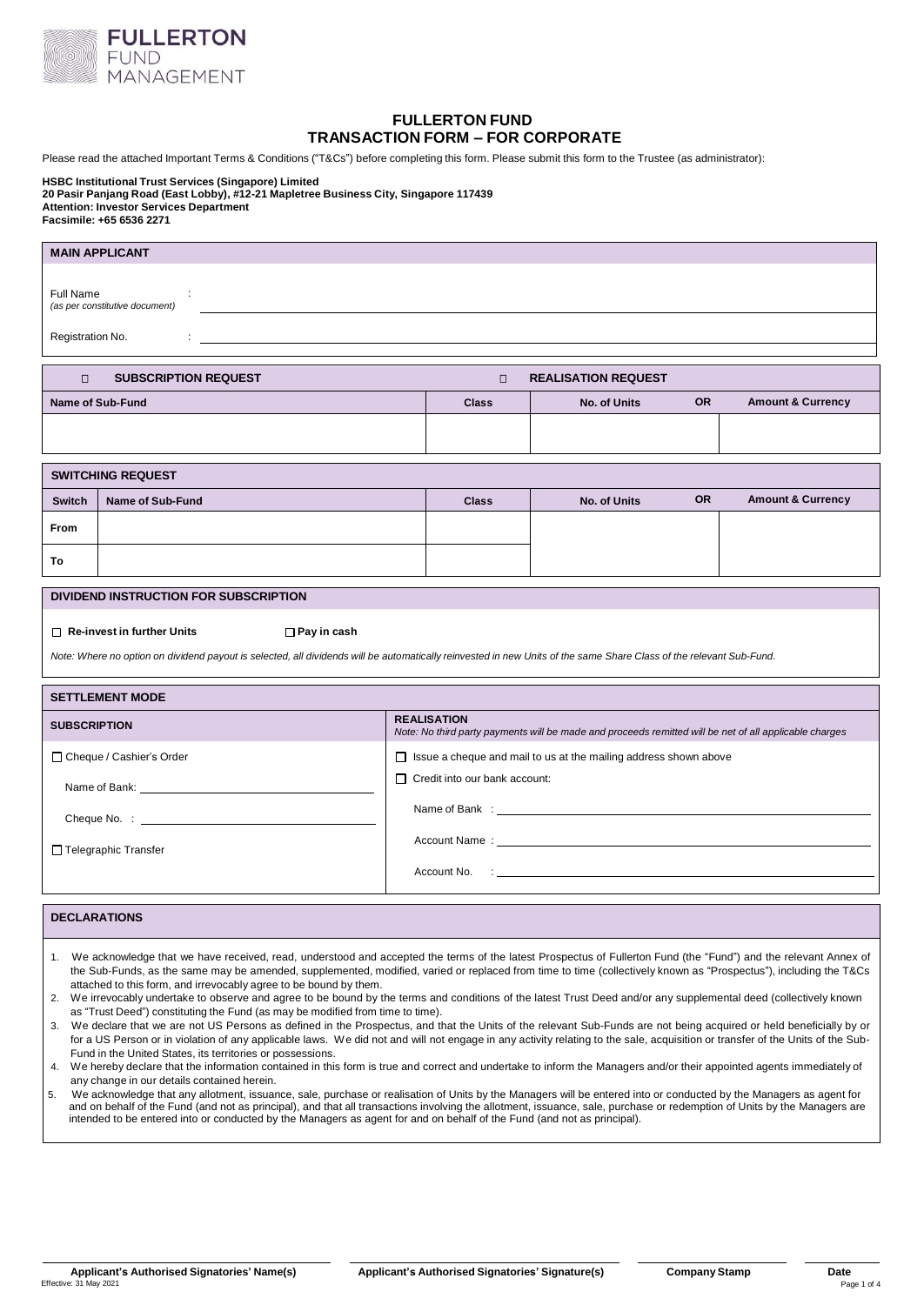

# **FULLERTON FUND TRANSACTION FORM – FOR CORPORATE**

Please read the attached Important Terms & Conditions ("T&Cs") before completing this form. Please submit this form to the Trustee (as administrator):

**HSBC Institutional Trust Services (Singapore) Limited 20 Pasir Panjang Road (East Lobby), #12-21 Mapletree Business City, Singapore 117439 Attention: Investor Services Department Facsimile: +65 6536 2271**

| <b>MAIN APPLICANT</b>                                                                                                                                                                                                                                                                                                                                                                                                                                                                                                                                                                                                                                                                                                                                                                                                                                                                                                                                                                                                               |                    |                                                                         |                                                                                                                                                                                                                                |           |                              |  |  |  |
|-------------------------------------------------------------------------------------------------------------------------------------------------------------------------------------------------------------------------------------------------------------------------------------------------------------------------------------------------------------------------------------------------------------------------------------------------------------------------------------------------------------------------------------------------------------------------------------------------------------------------------------------------------------------------------------------------------------------------------------------------------------------------------------------------------------------------------------------------------------------------------------------------------------------------------------------------------------------------------------------------------------------------------------|--------------------|-------------------------------------------------------------------------|--------------------------------------------------------------------------------------------------------------------------------------------------------------------------------------------------------------------------------|-----------|------------------------------|--|--|--|
| <b>Full Name</b><br>(as per constitutive document)                                                                                                                                                                                                                                                                                                                                                                                                                                                                                                                                                                                                                                                                                                                                                                                                                                                                                                                                                                                  |                    |                                                                         |                                                                                                                                                                                                                                |           |                              |  |  |  |
| Registration No.<br>÷.                                                                                                                                                                                                                                                                                                                                                                                                                                                                                                                                                                                                                                                                                                                                                                                                                                                                                                                                                                                                              |                    |                                                                         |                                                                                                                                                                                                                                |           |                              |  |  |  |
| <b>SUBSCRIPTION REQUEST</b><br>$\Box$<br><b>REALISATION REQUEST</b><br>$\Box$                                                                                                                                                                                                                                                                                                                                                                                                                                                                                                                                                                                                                                                                                                                                                                                                                                                                                                                                                       |                    |                                                                         |                                                                                                                                                                                                                                |           |                              |  |  |  |
| <b>Name of Sub-Fund</b>                                                                                                                                                                                                                                                                                                                                                                                                                                                                                                                                                                                                                                                                                                                                                                                                                                                                                                                                                                                                             |                    | <b>Class</b>                                                            | <b>OR</b><br><b>Amount &amp; Currency</b><br><b>No. of Units</b>                                                                                                                                                               |           |                              |  |  |  |
|                                                                                                                                                                                                                                                                                                                                                                                                                                                                                                                                                                                                                                                                                                                                                                                                                                                                                                                                                                                                                                     |                    |                                                                         |                                                                                                                                                                                                                                |           |                              |  |  |  |
| <b>SWITCHING REQUEST</b>                                                                                                                                                                                                                                                                                                                                                                                                                                                                                                                                                                                                                                                                                                                                                                                                                                                                                                                                                                                                            |                    |                                                                         |                                                                                                                                                                                                                                |           |                              |  |  |  |
| <b>Switch</b><br><b>Name of Sub-Fund</b>                                                                                                                                                                                                                                                                                                                                                                                                                                                                                                                                                                                                                                                                                                                                                                                                                                                                                                                                                                                            |                    | <b>Class</b>                                                            | <b>No. of Units</b>                                                                                                                                                                                                            | <b>OR</b> | <b>Amount &amp; Currency</b> |  |  |  |
| From                                                                                                                                                                                                                                                                                                                                                                                                                                                                                                                                                                                                                                                                                                                                                                                                                                                                                                                                                                                                                                |                    |                                                                         |                                                                                                                                                                                                                                |           |                              |  |  |  |
| To                                                                                                                                                                                                                                                                                                                                                                                                                                                                                                                                                                                                                                                                                                                                                                                                                                                                                                                                                                                                                                  |                    |                                                                         |                                                                                                                                                                                                                                |           |                              |  |  |  |
| DIVIDEND INSTRUCTION FOR SUBSCRIPTION                                                                                                                                                                                                                                                                                                                                                                                                                                                                                                                                                                                                                                                                                                                                                                                                                                                                                                                                                                                               |                    |                                                                         |                                                                                                                                                                                                                                |           |                              |  |  |  |
| $\Box$ Re-invest in further Units<br>$\Box$ Pay in cash                                                                                                                                                                                                                                                                                                                                                                                                                                                                                                                                                                                                                                                                                                                                                                                                                                                                                                                                                                             |                    |                                                                         |                                                                                                                                                                                                                                |           |                              |  |  |  |
| Note: Where no option on dividend payout is selected, all dividends will be automatically reinvested in new Units of the same Share Class of the relevant Sub-Fund.                                                                                                                                                                                                                                                                                                                                                                                                                                                                                                                                                                                                                                                                                                                                                                                                                                                                 |                    |                                                                         |                                                                                                                                                                                                                                |           |                              |  |  |  |
| <b>SETTLEMENT MODE</b>                                                                                                                                                                                                                                                                                                                                                                                                                                                                                                                                                                                                                                                                                                                                                                                                                                                                                                                                                                                                              |                    |                                                                         |                                                                                                                                                                                                                                |           |                              |  |  |  |
| <b>SUBSCRIPTION</b>                                                                                                                                                                                                                                                                                                                                                                                                                                                                                                                                                                                                                                                                                                                                                                                                                                                                                                                                                                                                                 | <b>REALISATION</b> |                                                                         | Note: No third party payments will be made and proceeds remitted will be net of all applicable charges                                                                                                                         |           |                              |  |  |  |
| □ Cheque / Cashier's Order                                                                                                                                                                                                                                                                                                                                                                                                                                                                                                                                                                                                                                                                                                                                                                                                                                                                                                                                                                                                          |                    | $\Box$ Issue a cheque and mail to us at the mailing address shown above |                                                                                                                                                                                                                                |           |                              |  |  |  |
| Name of Bank: Name of Bank:                                                                                                                                                                                                                                                                                                                                                                                                                                                                                                                                                                                                                                                                                                                                                                                                                                                                                                                                                                                                         |                    | $\Box$ Credit into our bank account:                                    |                                                                                                                                                                                                                                |           |                              |  |  |  |
|                                                                                                                                                                                                                                                                                                                                                                                                                                                                                                                                                                                                                                                                                                                                                                                                                                                                                                                                                                                                                                     |                    |                                                                         |                                                                                                                                                                                                                                |           |                              |  |  |  |
| □ Telegraphic Transfer                                                                                                                                                                                                                                                                                                                                                                                                                                                                                                                                                                                                                                                                                                                                                                                                                                                                                                                                                                                                              |                    |                                                                         | Account Name : the contract of the contract of the contract of the contract of the contract of the contract of the contract of the contract of the contract of the contract of the contract of the contract of the contract of |           |                              |  |  |  |
|                                                                                                                                                                                                                                                                                                                                                                                                                                                                                                                                                                                                                                                                                                                                                                                                                                                                                                                                                                                                                                     |                    |                                                                         |                                                                                                                                                                                                                                |           |                              |  |  |  |
| <b>DECLARATIONS</b>                                                                                                                                                                                                                                                                                                                                                                                                                                                                                                                                                                                                                                                                                                                                                                                                                                                                                                                                                                                                                 |                    |                                                                         |                                                                                                                                                                                                                                |           |                              |  |  |  |
|                                                                                                                                                                                                                                                                                                                                                                                                                                                                                                                                                                                                                                                                                                                                                                                                                                                                                                                                                                                                                                     |                    |                                                                         |                                                                                                                                                                                                                                |           |                              |  |  |  |
| 1. We acknowledge that we have received, read, understood and accepted the terms of the latest Prospectus of Fullerton Fund (the "Fund") and the relevant Annex of<br>the Sub-Funds, as the same may be amended, supplemented, modified, varied or replaced from time to time (collectively known as "Prospectus"), including the T&Cs<br>attached to this form, and irrevocably agree to be bound by them.<br>We irrevocably undertake to observe and agree to be bound by the terms and conditions of the latest Trust Deed and/or any supplemental deed (collectively known<br>2.<br>as "Trust Deed") constituting the Fund (as may be modified from time to time).<br>We declare that we are not US Persons as defined in the Prospectus, and that the Units of the relevant Sub-Funds are not being acquired or held beneficially by or<br>3.<br>for a US Person or in violation of any applicable laws. We did not and will not engage in any activity relating to the sale, acquisition or transfer of the Units of the Sub- |                    |                                                                         |                                                                                                                                                                                                                                |           |                              |  |  |  |
| Fund in the United States, its territories or possessions.<br>We hereby declare that the information contained in this form is true and correct and undertake to inform the Managers and/or their appointed agents immediately of<br>4.                                                                                                                                                                                                                                                                                                                                                                                                                                                                                                                                                                                                                                                                                                                                                                                             |                    |                                                                         |                                                                                                                                                                                                                                |           |                              |  |  |  |

any change in our details contained herein. 5. We acknowledge that any allotment, issuance, sale, purchase or realisation of Units by the Managers will be entered into or conducted by the Managers as agent for

and on behalf of the Fund (and not as principal), and that all transactions involving the allotment, issuance, sale, purchase or redemption of Units by the Managers are<br>intended to be entered into or conducted by the Manag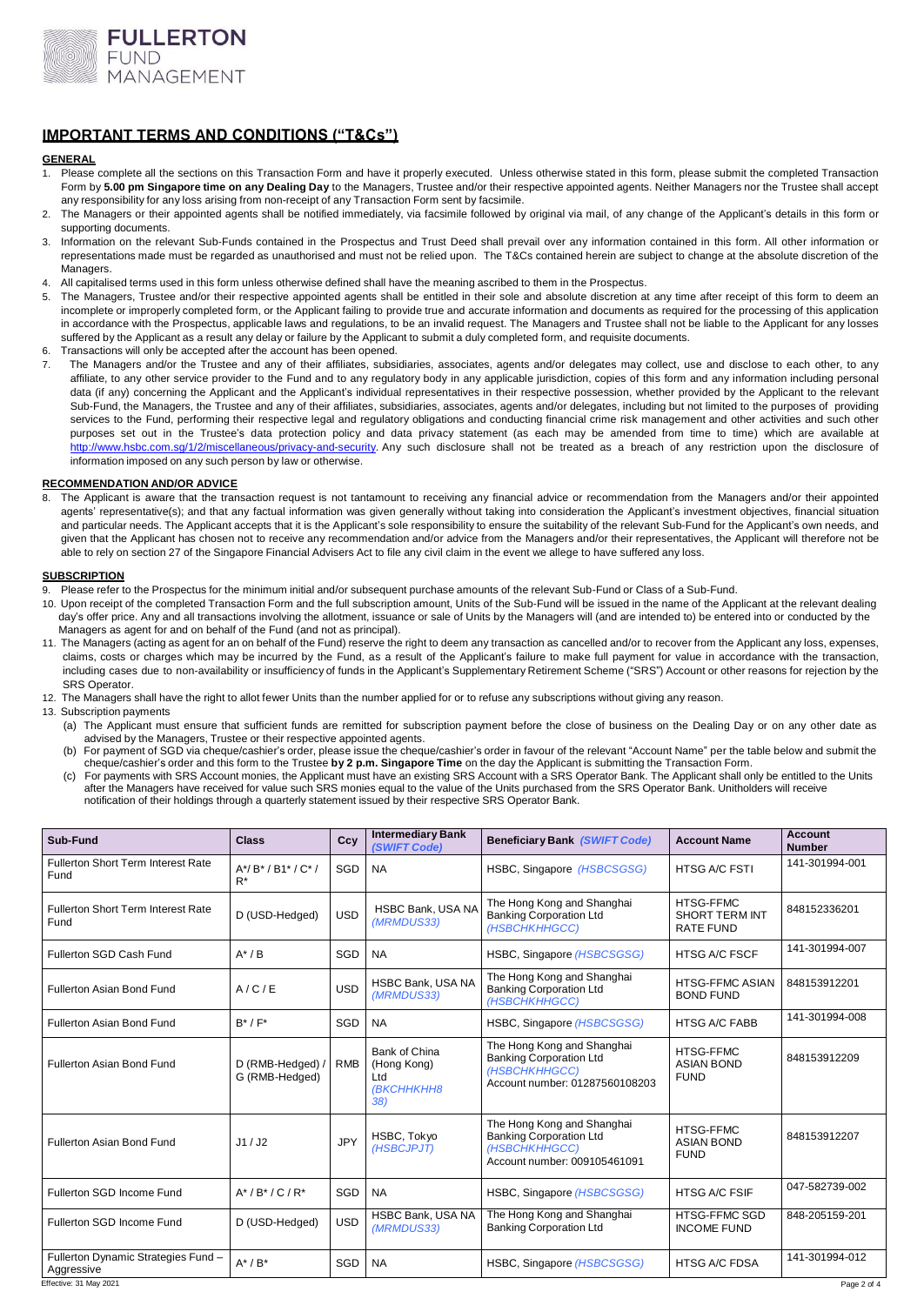

## **IMPORTANT TERMS AND CONDITIONS ("T&Cs")**

### **GENERAL**

- Please complete all the sections on this Transaction Form and have it properly executed. Unless otherwise stated in this form, please submit the completed Transaction Form by **5.00 pm Singapore time on any Dealing Day** to the Managers, Trustee and/or their respective appointed agents. Neither Managers nor the Trustee shall accept any responsibility for any loss arising from non-receipt of any Transaction Form sent by facsimile.
- The Managers or their appointed agents shall be notified immediately, via facsimile followed by original via mail, of any change of the Applicant's details in this form or supporting documents.
- 3. Information on the relevant Sub-Funds contained in the Prospectus and Trust Deed shall prevail over any information contained in this form. All other information or representations made must be regarded as unauthorised and must not be relied upon. The T&Cs contained herein are subject to change at the absolute discretion of the **Managers**
- 4. All capitalised terms used in this form unless otherwise defined shall have the meaning ascribed to them in the Prospectus.<br>5. The Managers, Trustee and/or their respective appointed agents shall be entitled in their so
- The Managers, Trustee and/or their respective appointed agents shall be entitled in their sole and absolute discretion at any time after receipt of this form to deem an incomplete or improperly completed form, or the Applicant failing to provide true and accurate information and documents as required for the processing of this application in accordance with the Prospectus, applicable laws and regulations, to be an invalid request. The Managers and Trustee shall not be liable to the Applicant for any losses suffered by the Applicant as a result any delay or failure by the Applicant to submit a duly completed form, and requisite documents.
- 6. Transactions will only be accepted after the account has been opened.<br>7. The Managers and/or the Trustee and any of their affiliates, subsit
- The Managers and/or the Trustee and any of their affiliates, subsidiaries, associates, agents and/or delegates may collect, use and disclose to each other, to any affiliate, to any other service provider to the Fund and to any regulatory body in any applicable jurisdiction, copies of this form and any information including personal data (if any) concerning the Applicant and the Applicant's individual representatives in their respective possession, whether provided by the Applicant to the relevant Sub-Fund, the Managers, the Trustee and any of their affiliates, subsidiaries, associates, agents and/or delegates, including but not limited to the purposes of providing services to the Fund, performing their respective legal and regulatory obligations and conducting financial crime risk management and other activities and such other purposes set out in the Trustee's data protection policy and data privacy statement (as each may be amended from time to time) which are available at [http://www.hsbc.com.sg/1/2/miscellaneous/privacy-and-security.](http://www.hsbc.com.sg/1/2/miscellaneous/privacy-and-security) Any such disclosure shall not be treated as a breach of any restriction upon the disclosure of information imposed on any such person by law or otherwise.

### **RECOMMENDATION AND/OR ADVICE**

The Applicant is aware that the transaction request is not tantamount to receiving any financial advice or recommendation from the Managers and/or their appointed agents' representative(s); and that any factual information was given generally without taking into consideration the Applicant's investment objectives, financial situation and particular needs. The Applicant accepts that it is the Applicant's sole responsibility to ensure the suitability of the relevant Sub-Fund for the Applicant's own needs, and given that the Applicant has chosen not to receive any recommendation and/or advice from the Managers and/or their representatives, the Applicant will therefore not be able to rely on section 27 of the Singapore Financial Advisers Act to file any civil claim in the event we allege to have suffered any loss.

### **SUBSCRIPTION**

- Please refer to the Prospectus for the minimum initial and/or subsequent purchase amounts of the relevant Sub-Fund or Class of a Sub-Fund.
- 10. Upon receipt of the completed Transaction Form and the full subscription amount, Units of the Sub-Fund will be issued in the name of the Applicant at the relevant dealing day's offer price. Any and all transactions involving the allotment, issuance or sale of Units by the Managers will (and are intended to) be entered into or conducted by the Managers as agent for and on behalf of the Fund (and not as principal).
- 11. The Managers (acting as agent for an on behalf of the Fund) reserve the right to deem any transaction as cancelled and/or to recover from the Applicant any loss, expenses, claims, costs or charges which may be incurred by the Fund, as a result of the Applicant's failure to make full payment for value in accordance with the transaction, including cases due to non-availability or insufficiency of funds in the Applicant's Supplementary Retirement Scheme ("SRS") Account or other reasons for rejection by the SRS Operator.
- 12. The Managers shall have the right to allot fewer Units than the number applied for or to refuse any subscriptions without giving any reason.
- 13. Subscription payments
	- (a) The Applicant must ensure that sufficient funds are remitted for subscription payment before the close of business on the Dealing Day or on any other date as advised by the Managers, Trustee or their respective appointed agents.
	- (b) For payment of SGD via cheque/cashier's order, please issue the cheque/cashier's order in favour of the relevant "Account Name" per the table below and submit the cheque/cashier's order and this form to the Trustee **by 2 p.m. Singapore Time** on the day the Applicant is submitting the Transaction Form.
	- c) For payments with SRS Account monies, the Applicant must have an existing SRS Account with a SRS Operator Bank. The Applicant shall only be entitled to the Units<br>after the Managers have received for value such SRS monie notification of their holdings through a quarterly statement issued by their respective SRS Operator Bank.

| Sub-Fund                                          | <b>Class</b>                       | Ccy        | <b>Intermediary Bank</b><br>(SWIFT Code)                 | Beneficiary Bank (SWIFT Code)                                                                                   | <b>Account Name</b>                                  | <b>Account</b><br><b>Number</b> |
|---------------------------------------------------|------------------------------------|------------|----------------------------------------------------------|-----------------------------------------------------------------------------------------------------------------|------------------------------------------------------|---------------------------------|
| <b>Fullerton Short Term Interest Rate</b><br>Fund | $A^*/B^*/B1^*/C^*/$<br>$R^*$       | SGD        | <b>NA</b>                                                | HSBC, Singapore (HSBCSGSG)                                                                                      | HTSG A/C FSTI                                        | 141-301994-001                  |
| <b>Fullerton Short Term Interest Rate</b><br>Fund | D (USD-Hedged)                     | <b>USD</b> | HSBC Bank, USA NA<br>(MRMDUS33)                          | The Hong Kong and Shanghai<br><b>Banking Corporation Ltd</b><br>(HSBCHKHHGCC)                                   | HTSG-FFMC<br>SHORT TERM INT<br><b>RATE FUND</b>      | 848152336201                    |
| Fullerton SGD Cash Fund                           | $A^*/B$                            | SGD        | <b>NA</b>                                                | HSBC, Singapore (HSBCSGSG)                                                                                      | <b>HTSG A/C FSCF</b>                                 | 141-301994-007                  |
| Fullerton Asian Bond Fund                         | A/C/E                              | <b>USD</b> | HSBC Bank, USA NA<br>(MRMDUS33)                          | The Hong Kong and Shanghai<br><b>Banking Corporation Ltd</b><br>(HSBCHKHHGCC)                                   | <b>HTSG-FFMC ASIAN</b><br><b>BOND FUND</b>           | 848153912201                    |
| Fullerton Asian Bond Fund                         | $B^*$ / $F^*$                      | SGD        | <b>NA</b>                                                | HSBC, Singapore (HSBCSGSG)                                                                                      | <b>HTSG A/C FABB</b>                                 | 141-301994-008                  |
| <b>Fullerton Asian Bond Fund</b>                  | D (RMB-Hedged) /<br>G (RMB-Hedged) | <b>RMB</b> | Bank of China<br>(Hong Kong)<br>Ltd<br>(ВКСННКНН8<br>38) | The Hong Kong and Shanghai<br><b>Banking Corporation Ltd</b><br>(HSBCHKHHGCC)<br>Account number: 01287560108203 | <b>HTSG-FFMC</b><br><b>ASIAN BOND</b><br><b>FUND</b> | 848153912209                    |
| Fullerton Asian Bond Fund                         | J1/J2                              | <b>JPY</b> | HSBC, Tokyo<br>(HSBCJPJT)                                | The Hong Kong and Shanghai<br><b>Banking Corporation Ltd</b><br>(HSBCHKHHGCC)<br>Account number: 009105461091   | <b>HTSG-FFMC</b><br><b>ASIAN BOND</b><br><b>FUND</b> | 848153912207                    |
| Fullerton SGD Income Fund                         | $A^*/B^*/C/R^*$                    | SGD        | <b>NA</b>                                                | HSBC, Singapore (HSBCSGSG)                                                                                      | <b>HTSG A/C FSIF</b>                                 | 047-582739-002                  |
| Fullerton SGD Income Fund                         | D (USD-Hedged)                     | <b>USD</b> | HSBC Bank, USA NA<br>(MRMDUS33)                          | The Hong Kong and Shanghai<br><b>Banking Corporation Ltd</b>                                                    | <b>HTSG-FFMC SGD</b><br><b>INCOME FUND</b>           | 848-205159-201                  |
| Fullerton Dynamic Strategies Fund -<br>Aggressive | $A^*$ / $B^*$                      | SGD        | <b>NA</b>                                                | HSBC, Singapore (HSBCSGSG)                                                                                      | HTSG A/C FDSA                                        | 141-301994-012                  |
| Effective: 31 May 2021                            |                                    |            |                                                          |                                                                                                                 |                                                      | Page 2 of 4                     |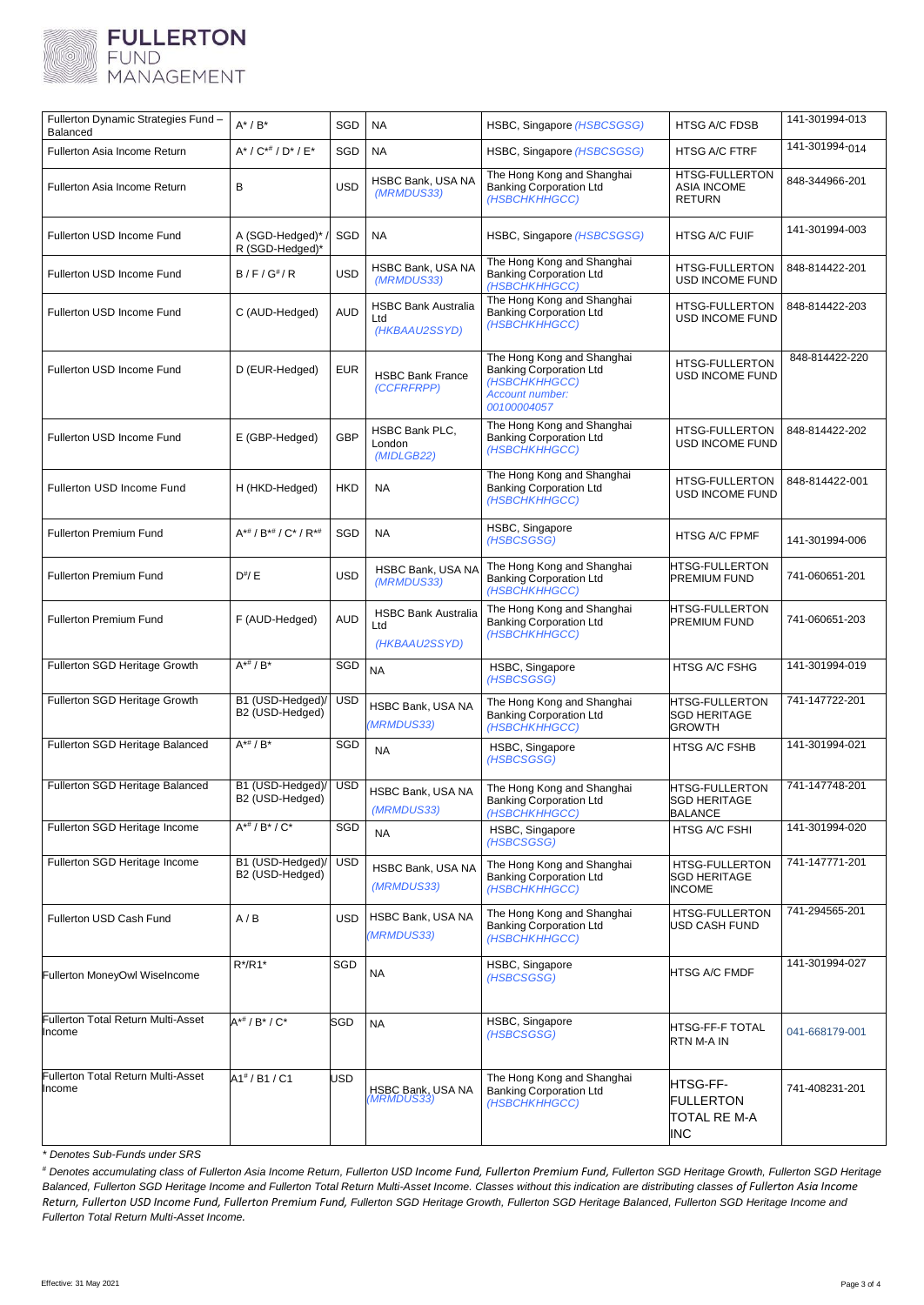

| Fullerton Dynamic Strategies Fund-<br>Balanced      | $A^*$ / $B^*$                          | SGD        | <b>NA</b>                                          | HSBC, Singapore (HSBCSGSG)                                                                                      | <b>HTSG A/C FDSB</b>                                          | 141-301994-013 |
|-----------------------------------------------------|----------------------------------------|------------|----------------------------------------------------|-----------------------------------------------------------------------------------------------------------------|---------------------------------------------------------------|----------------|
| Fullerton Asia Income Return                        | $A^* / C^{* \#} / D^* / E^*$           | SGD        | <b>NA</b>                                          | HSBC, Singapore (HSBCSGSG)                                                                                      | <b>HTSG A/C FTRF</b>                                          | 141-301994-014 |
| Fullerton Asia Income Return                        | B                                      | <b>USD</b> | HSBC Bank, USA NA<br>(MRMDUS33)                    | The Hong Kong and Shanghai<br><b>Banking Corporation Ltd</b><br>(HSBCHKHHGCC)                                   | HTSG-FULLERTON<br><b>ASIA INCOME</b><br><b>RETURN</b>         | 848-344966-201 |
| Fullerton USD Income Fund                           | A (SGD-Hedged)*<br>R (SGD-Hedged)*     | SGD        | <b>NA</b>                                          | HSBC, Singapore (HSBCSGSG)                                                                                      | <b>HTSG A/C FUIF</b>                                          | 141-301994-003 |
| Fullerton USD Income Fund                           | $B/F/G^{\#}/R$                         | USD        | HSBC Bank, USA NA<br>(MRMDUS33)                    | The Hong Kong and Shanghai<br><b>Banking Corporation Ltd</b><br>(HSBCHKHHGCC)                                   | HTSG-FULLERTON<br>USD INCOME FUND                             | 848-814422-201 |
| Fullerton USD Income Fund                           | C (AUD-Hedged)                         | <b>AUD</b> | <b>HSBC Bank Australia</b><br>Ltd<br>(HKBAAU2SSYD) | The Hong Kong and Shanghai<br><b>Banking Corporation Ltd</b><br>(HSBCHKHHGCC)                                   | <b>HTSG-FULLERTON</b><br>USD INCOME FUND                      | 848-814422-203 |
| Fullerton USD Income Fund                           | D (EUR-Hedged)                         | <b>EUR</b> | <b>HSBC Bank France</b><br>(CCFRFRPP)              | The Hong Kong and Shanghai<br><b>Banking Corporation Ltd</b><br>(HSBCHKHHGCC)<br>Account number:<br>00100004057 | <b>HTSG-FULLERTON</b><br><b>USD INCOME FUND</b>               | 848-814422-220 |
| Fullerton USD Income Fund                           | E (GBP-Hedged)                         | <b>GBP</b> | HSBC Bank PLC,<br>London<br>(MIDLGB22)             | The Hong Kong and Shanghai<br><b>Banking Corporation Ltd</b><br>(HSBCHKHHGCC)                                   | <b>HTSG-FULLERTON</b><br>USD INCOME FUND                      | 848-814422-202 |
| Fullerton USD Income Fund                           | H (HKD-Hedged)                         | <b>HKD</b> | <b>NA</b>                                          | The Hong Kong and Shanghai<br><b>Banking Corporation Ltd</b><br>(HSBCHKHHGCC)                                   | <b>HTSG-FULLERTON</b><br>USD INCOME FUND                      | 848-814422-001 |
| <b>Fullerton Premium Fund</b>                       | $A^{**}$ / $B^{**}$ / $C^*$ / $R^{**}$ | SGD        | <b>NA</b>                                          | HSBC, Singapore<br>(HSBCSGSG)                                                                                   | <b>HTSG A/C FPMF</b>                                          | 141-301994-006 |
| <b>Fullerton Premium Fund</b>                       | $D^{\#}/E$                             | <b>USD</b> | HSBC Bank, USA NA<br>(MRMDUS33)                    | The Hong Kong and Shanghai<br><b>Banking Corporation Ltd</b><br>(HSBCHKHHGCC)                                   | HTSG-FULLERTON<br><b>PREMIUM FUND</b>                         | 741-060651-201 |
| <b>Fullerton Premium Fund</b>                       | F (AUD-Hedged)                         | <b>AUD</b> | <b>HSBC Bank Australia</b><br>Ltd<br>(HKBAAU2SSYD) | The Hong Kong and Shanghai<br><b>Banking Corporation Ltd</b><br>(HSBCHKHHGCC)                                   | HTSG-FULLERTON<br>PREMIUM FUND                                | 741-060651-203 |
| Fullerton SGD Heritage Growth                       | $A^{**}/B^*$                           | <b>SGD</b> | <b>NA</b>                                          | HSBC, Singapore<br>(HSBCSGSG)                                                                                   | HTSG A/C FSHG                                                 | 141-301994-019 |
| Fullerton SGD Heritage Growth                       | B1 (USD-Hedged)/<br>B2 (USD-Hedged)    | <b>USD</b> | HSBC Bank, USA NA<br>(MRMDUS33)                    | The Hong Kong and Shanghai<br><b>Banking Corporation Ltd</b><br>(HSBCHKHHGCC)                                   | <b>HTSG-FULLERTON</b><br><b>SGD HERITAGE</b><br><b>GROWTH</b> | 741-147722-201 |
| Fullerton SGD Heritage Balanced                     | $A^{*#}$ / $B^*$                       | SGD        | <b>NA</b>                                          | HSBC, Singapore<br>(HSBCSGSG)                                                                                   | <b>HTSG A/C FSHB</b>                                          | 141-301994-021 |
| Fullerton SGD Heritage Balanced                     | B1 (USD-Hedged)/<br>B2 (USD-Hedged)    | <b>USD</b> | HSBC Bank, USA NA<br>(MRMDUS33)                    | The Hong Kong and Shanghai<br><b>Banking Corporation Ltd</b><br>(HSBCHKHHGCC)                                   | HTSG-FULLERTON<br><b>SGD HERITAGE</b><br><b>BALANCE</b>       | 741-147748-201 |
| Fullerton SGD Heritage Income                       | $A^{*#}/B^{*}/C^{*}$                   | SGD        | <b>NA</b>                                          | HSBC, Singapore<br>(HSBCSGSG)                                                                                   | HTSG A/C FSHI                                                 | 141-301994-020 |
| Fullerton SGD Heritage Income                       | B1 (USD-Hedged)/<br>B2 (USD-Hedged)    | <b>USD</b> | HSBC Bank, USA NA<br>(MRMDUS33)                    | The Hong Kong and Shanghai<br><b>Banking Corporation Ltd</b><br>(HSBCHKHHGCC)                                   | <b>HTSG-FULLERTON</b><br><b>SGD HERITAGE</b><br><b>INCOME</b> | 741-147771-201 |
| Fullerton USD Cash Fund                             | A/B                                    | USD        | HSBC Bank, USA NA<br>(MRMDUS33)                    | The Hong Kong and Shanghai<br><b>Banking Corporation Ltd</b><br>(HSBCHKHHGCC)                                   | <b>HTSG-FULLERTON</b><br>USD CASH FUND                        | 741-294565-201 |
| Fullerton MoneyOwl WiseIncome                       | $R^*/R1^*$                             | SGD        | <b>NA</b>                                          | HSBC, Singapore<br>(HSBCSGSG)                                                                                   | <b>HTSG A/C FMDF</b>                                          | 141-301994-027 |
| Fullerton Total Return Multi-Asset<br>Income        | $A^{*#}/B^*/C^*$                       | SGD        | <b>NA</b>                                          | HSBC, Singapore<br>(HSBCSGSG)                                                                                   | HTSG-FF-F TOTAL<br>RTN M-A IN                                 | 041-668179-001 |
| <b>Fullerton Total Return Multi-Asset</b><br>Income | A1# / B1 / C1                          | <b>JSD</b> | HSBC Bank, USA NA<br>(MRMDUS33)                    | The Hong Kong and Shanghai<br><b>Banking Corporation Ltd</b><br>(HSBCHKHHGCC)                                   | HTSG-FF-<br>FULLERTON<br>TOTAL RE M-A<br><b>INC</b>           | 741-408231-201 |

*\* Denotes Sub-Funds under SRS*

*# Denotes accumulating class of Fullerton Asia Income Return, Fullerton USD Income Fund, Fullerton Premium Fund, Fullerton SGD Heritage Growth, Fullerton SGD Heritage Balanced, Fullerton SGD Heritage Income and Fullerton Total Return Multi-Asset Income. Classes without this indication are distributing classes of Fullerton Asia Income Return, Fullerton USD Income Fund, Fullerton Premium Fund, Fullerton SGD Heritage Growth, Fullerton SGD Heritage Balanced, Fullerton SGD Heritage Income and Fullerton Total Return Multi-Asset Income.*